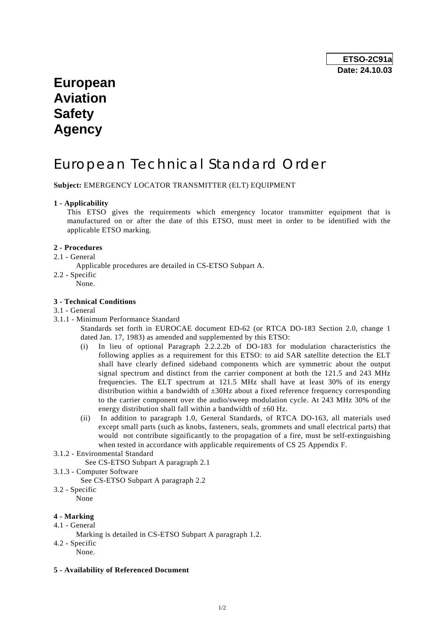## **European Aviation Safety Agency**

# European Technical Standard Order

**Subject:** EMERGENCY LOCATOR TRANSMITTER (ELT) EQUIPMENT

## **1 - Applicability**

 This ETSO gives the requirements which emergency locator transmitter equipment that is manufactured on or after the date of this ETSO, must meet in order to be identified with the applicable ETSO marking.

## **2 - Procedures**

- 2.1 General
	- Applicable procedures are detailed in CS-ETSO Subpart A.
- 2.2 Specific
- None.

#### **3 - Technical Conditions**

#### 3.1 - General

3.1.1 - Minimum Performance Standard

 Standards set forth in EUROCAE document ED-62 (or RTCA DO-183 Section 2.0, change 1 dated Jan. 17, 1983) as amended and supplemented by this ETSO:

- (i) In lieu of optional Paragraph 2.2.2.2b of DO-183 for modulation characteristics the following applies as a requirement for this ETSO: to aid SAR satellite detection the ELT shall have clearly defined sideband components which are symmetric about the output signal spectrum and distinct from the carrier component at both the 121.5 and 243 MHz frequencies. The ELT spectrum at 121.5 MHz shall have at least 30% of its energy distribution within a bandwidth of  $\pm 30$ Hz about a fixed reference frequency corresponding to the carrier component over the audio/sweep modulation cycle. At 243 MHz 30% of the energy distribution shall fall within a bandwidth of  $\pm 60$  Hz.
- (ii) In addition to paragraph 1.0, General Standards, of RTCA DO-163, all materials used except small parts (such as knobs, fasteners, seals, grommets and small electrical parts) that would not contribute significantly to the propagation of a fire, must be self-extinguishing when tested in accordance with applicable requirements of CS 25 Appendix F.
- 3.1.2 Environmental Standard

See CS-ETSO Subpart A paragraph 2.1

- 3.1.3 Computer Software
	- See CS-ETSO Subpart A paragraph 2.2
- 3.2 Specific

None

## **4 - Marking**

- 4.1 General
- Marking is detailed in CS-ETSO Subpart A paragraph 1.2.
- 4.2 Specific None.
- **5 Availability of Referenced Document**